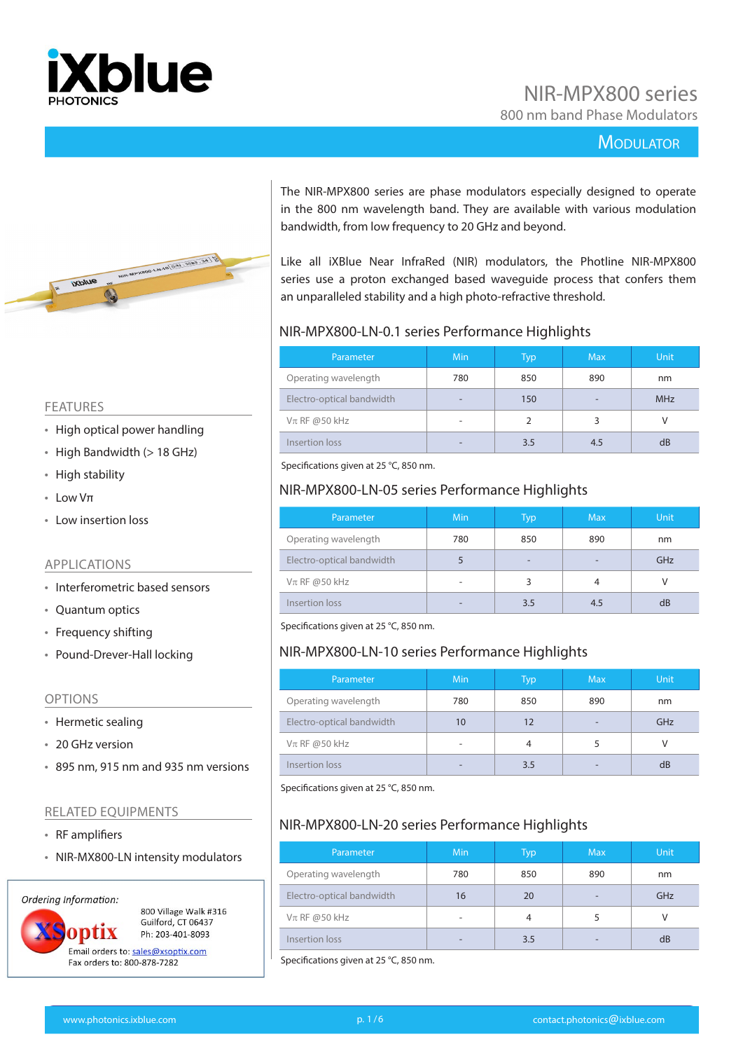

### NIR-MPX800 series

800 nm band Phase Modulators

#### **MODULATOR**



bandwidth, from low frequency to 20 GHz and beyond. Like all iXBlue Near InfraRed (NIR) modulators, the Photline NIR-MPX800 series use a proton exchanged based waveguide process that confers them an unparalleled stability and a high photo-refractive threshold.

#### NIR-MPX800-LN-0.1 series Performance Highlights

| Parameter                 | Min | Typ | <b>Max</b>               | <b>Unit</b> |
|---------------------------|-----|-----|--------------------------|-------------|
| Operating wavelength      | 780 | 850 | 890                      | nm          |
| Electro-optical bandwidth | -   | 150 | $\overline{\phantom{0}}$ | <b>MHz</b>  |
| $V\pi$ RF @50 kHz         | ۰   | C   | 3                        |             |
| Insertion loss            |     | 3.5 | 4.5                      | dB          |

The NIR-MPX800 series are phase modulators especially designed to operate in the 800 nm wavelength band. They are available with various modulation

Specifications given at 25 °C, 850 nm.

#### NIR-MPX800-LN-05 series Performance Highlights

| Parameter                 | Min | <b>Typ</b>               | <b>Max</b>               | <b>Unit</b> |
|---------------------------|-----|--------------------------|--------------------------|-------------|
| Operating wavelength      | 780 | 850                      | 890                      | nm          |
| Electro-optical bandwidth |     | $\overline{\phantom{0}}$ | $\overline{\phantom{0}}$ | GHz         |
| $V\pi$ RF @50 kHz         |     | 3                        | 4                        |             |
| Insertion loss            |     | 3.5                      | 4.5                      | dB          |

Specifications given at 25 °C, 850 nm.

#### NIR-MPX800-LN-10 series Performance Highlights

| Parameter                 | Min | Typ | <b>Max</b> | <b>Unit</b> |
|---------------------------|-----|-----|------------|-------------|
| Operating wavelength      | 780 | 850 | 890        | nm          |
| Electro-optical bandwidth | 10  | 12  |            | GHz         |
| $Vπ$ RF @50 kHz           |     | 4   |            |             |
| Insertion loss            |     | 3.5 |            | dB          |

Specifications given at 25 °C, 850 nm.

#### NIR-MPX800-LN-20 series Performance Highlights

| Parameter                 | <b>Min</b> | Typ | <b>Max</b>               | <b>Unit</b> |
|---------------------------|------------|-----|--------------------------|-------------|
| Operating wavelength      | 780        | 850 | 890                      | nm          |
| Electro-optical bandwidth | 16         | 20  | $\overline{\phantom{0}}$ | GHz         |
| $V\pi$ RF @50 kHz         |            | 4   |                          |             |
| Insertion loss            |            | 3.5 | $\overline{\phantom{0}}$ | dB          |

Specifications given at 25 °C, 850 nm.

#### FEATURES

- High optical power handling
- High Bandwidth (> 18 GHz)
- High stability
- Low Vπ
- Low insertion loss

#### APPLICATIONS

- Interferometric based sensors
- Quantum optics
- Frequency shifting
- Pound-Drever-Hall locking

#### OPTIONS

- Hermetic sealing
- 20 GHz version
- 895 nm, 915 nm and 935 nm versions

#### RELATED EQUIPMENTS

- RF amplifiers
- NIR-MX800-LN intensity modulators

#### Ordering Information:



Guilford, CT 06437 Ph: 203-401-8093 Email orders to: sales@xsoptix.com

800 Village Walk #316

Fax orders to: 800-878-7282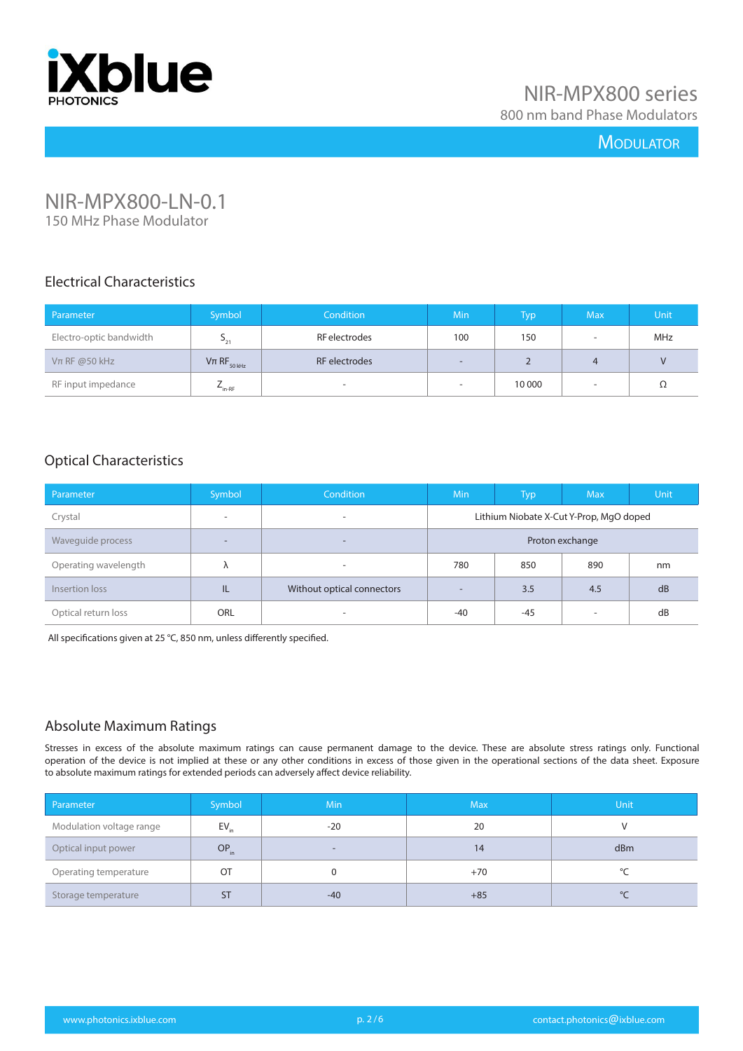

800 nm band Phase Modulators

#### **MODULATOR**

# NIR-MPX800-LN-0.1

150 MHz Phase Modulator

#### Electrical Characteristics

| Parameter               | Symbol                      | Condition     | <b>Min</b>        | Typ    | <b>Max</b> | <b>Unit</b> |
|-------------------------|-----------------------------|---------------|-------------------|--------|------------|-------------|
| Electro-optic bandwidth | $-21$                       | RF electrodes | 100               | 150    | -          | MHz         |
| $V\pi$ RF @50 kHz       | $V\pi$ RF <sub>50 kHz</sub> | RF electrodes | $\qquad \qquad -$ |        |            |             |
| RF input impedance      | $-$ in-RF                   |               |                   | 10 000 | -          | Ω           |

#### Optical Characteristics

| Parameter            | Symbol                   | <b>Condition</b>           | <b>Min</b>                              | Typ   | <b>Max</b> | <b>Unit</b> |
|----------------------|--------------------------|----------------------------|-----------------------------------------|-------|------------|-------------|
| Crystal              | $\overline{\phantom{0}}$ | $\overline{\phantom{a}}$   | Lithium Niobate X-Cut Y-Prop, MgO doped |       |            |             |
| Waveguide process    | -                        | $\overline{\phantom{0}}$   | Proton exchange                         |       |            |             |
| Operating wavelength | Λ                        | $\overline{\phantom{a}}$   | 780                                     | 850   | 890        | nm          |
| Insertion loss       | IL                       | Without optical connectors | $\sim$                                  | 3.5   | 4.5        | dB          |
| Optical return loss  | ORL                      | $\overline{\phantom{a}}$   | $-40$                                   | $-45$ | ۰          | dB          |

All specifications given at 25 °C, 850 nm, unless differently specified.

#### Absolute Maximum Ratings

| Parameter                | Symbol <sup>1</sup> | <b>Min</b>               | <b>Max</b> | Unit      |
|--------------------------|---------------------|--------------------------|------------|-----------|
| Modulation voltage range | $EV_{in}$           | $-20$                    | 20         |           |
| Optical input power      | OP <sub>in</sub>    | $\overline{\phantom{0}}$ | 14         | dBm       |
| Operating temperature    | <b>OT</b>           |                          | $+70$      | $\circ$   |
| Storage temperature      | <b>ST</b>           | $-40$                    | $+85$      | $\circ$ C |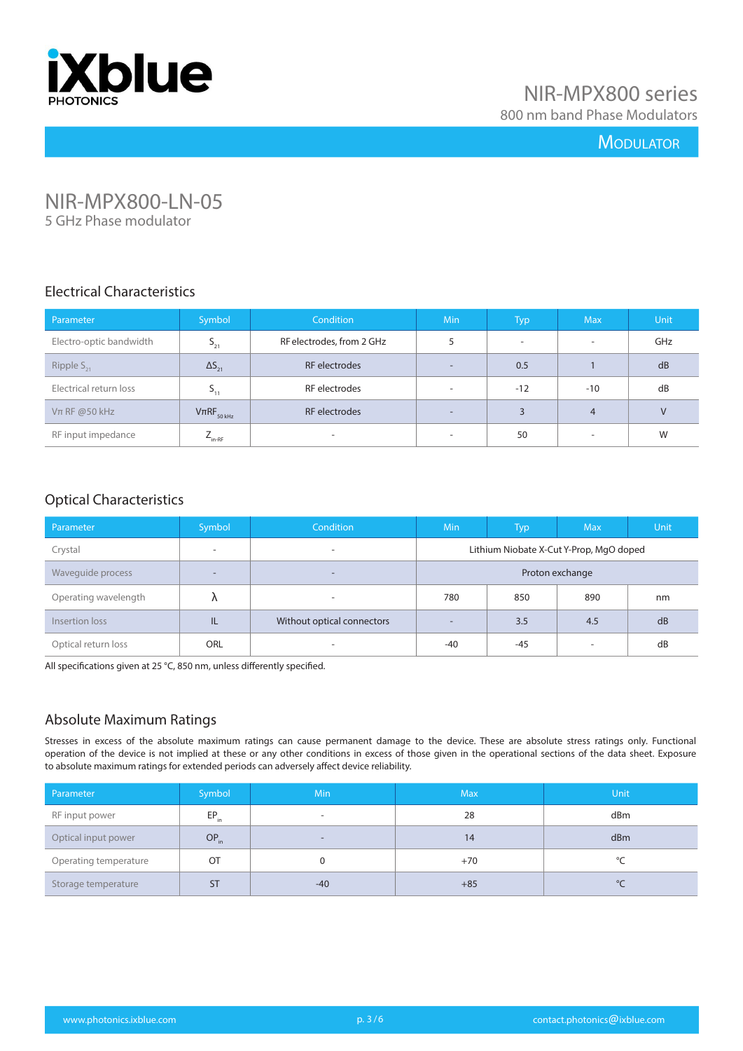

### NIR-MPX800 series

800 nm band Phase Modulators

#### **MODULATOR**

## NIR-MPX800-LN-05

5 GHz Phase modulator

#### Electrical Characteristics

| Parameter               | Symbol              | <b>Condition</b>          | Min                      | <b>Typ</b> | <b>Max</b>               | <b>Unit</b> |
|-------------------------|---------------------|---------------------------|--------------------------|------------|--------------------------|-------------|
| Electro-optic bandwidth | $5_{21}$            | RF electrodes, from 2 GHz |                          | $\sim$     | $\overline{\phantom{a}}$ | GHz         |
| Ripple $S_{21}$         | $\Delta S_{21}$     | RF electrodes             | $\overline{\phantom{a}}$ | 0.5        |                          | dB          |
| Electrical return loss  |                     | RF electrodes             | $\sim$                   | $-12$      | $-10$                    | dB          |
| $Vπ$ RF @50 kHz         | $V\pi RF_{50\,kHz}$ | RF electrodes             | $\overline{\phantom{0}}$ | 3          | $\overline{4}$           | $\vee$      |
| RF input impedance      | $L_{\text{in-RF}}$  | ٠                         | $\overline{\phantom{a}}$ | 50         | $\overline{\phantom{a}}$ | W           |

#### Optical Characteristics

| Parameter            | Symbol     | <b>Condition</b>           | <b>Min</b>                              | Typ   | <b>Max</b>               | Unit, |  |
|----------------------|------------|----------------------------|-----------------------------------------|-------|--------------------------|-------|--|
| Crystal              | ۰          |                            | Lithium Niobate X-Cut Y-Prop, MgO doped |       |                          |       |  |
| Waveguide process    | -          | $\overline{\phantom{0}}$   | Proton exchange                         |       |                          |       |  |
| Operating wavelength |            |                            | 780                                     | 850   | 890                      | nm    |  |
| Insertion loss       | TL         | Without optical connectors | $\overline{\phantom{0}}$                | 3.5   | 4.5                      | dB    |  |
| Optical return loss  | <b>ORL</b> |                            | $-40$                                   | $-45$ | $\overline{\phantom{a}}$ | dB    |  |

All specifications given at 25 °C, 850 nm, unless differently specified.

#### Absolute Maximum Ratings

| Parameter             | Symbol           | Min.                     | <b>Max</b> | <b>Unit</b> |
|-----------------------|------------------|--------------------------|------------|-------------|
| RF input power        | $EP_{\text{in}}$ | $\overline{\phantom{a}}$ | 28         | dBm         |
| Optical input power   | $OP_{in}$        | $\overline{\phantom{a}}$ | 14         | dBm         |
| Operating temperature | OT               |                          | $+70$      |             |
| Storage temperature   | <b>ST</b>        | $-40$                    | $+85$      | $\circ$     |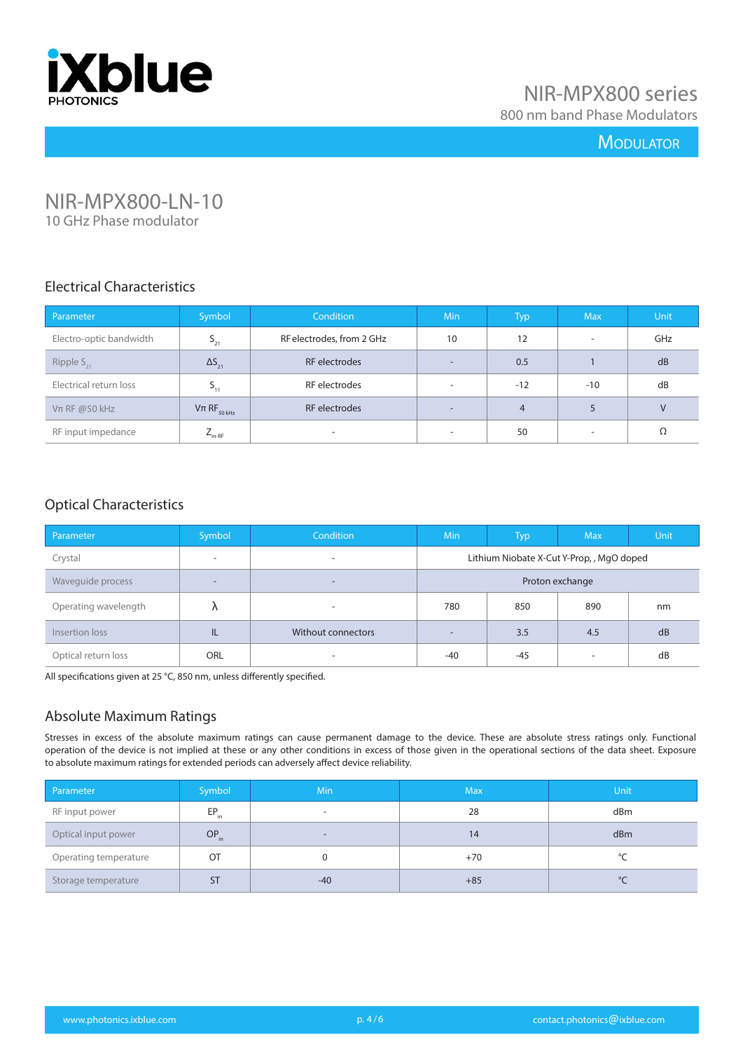

800 nm band Phase Modulators

#### **MODULATOR**

# NIR-MPX800-LN-10

10 GHz Phase modulator

#### Electrical Characteristics

| Parameter               | Symbol                    | <b>Condition</b>          | <b>Min</b>               | Typ            | <b>Max</b>               | Unit   |
|-------------------------|---------------------------|---------------------------|--------------------------|----------------|--------------------------|--------|
| Electro-optic bandwidth | $S_{21}$                  | RF electrodes, from 2 GHz | 10                       | 12             | $\overline{\phantom{a}}$ | GHz    |
| Ripple $S_{21}$         | $\Delta S_{21}$           | RF electrodes             | $\overline{\phantom{a}}$ | 0.5            |                          | dB     |
| Electrical return loss  | $S_{11}$                  | RF electrodes             | ۰                        | $-12$          | $-10$                    | dB     |
| $Vπ$ RF @50 kHz         | $Vπ$ RF <sub>50 kHz</sub> | RF electrodes             | $\overline{\phantom{a}}$ | $\overline{4}$ | 5                        | $\vee$ |
| RF input impedance      | $L_{\text{in-RF}}$        | ۰.                        | $\overline{\phantom{a}}$ | 50             | $\overline{\phantom{a}}$ | Ω      |

#### Optical Characteristics

| Parameter            | Symbol                   | Condition                | <b>Min</b>                               | <b>Typ</b> | <b>Max</b>               | <b>Unit</b> |
|----------------------|--------------------------|--------------------------|------------------------------------------|------------|--------------------------|-------------|
| Crystal              | $\overline{\phantom{a}}$ | $\overline{\phantom{a}}$ | Lithium Niobate X-Cut Y-Prop,, MgO doped |            |                          |             |
| Waveguide process    | $\overline{\phantom{a}}$ | -                        | Proton exchange                          |            |                          |             |
| Operating wavelength |                          | -                        | 780                                      | 850        | 890                      | nm          |
| Insertion loss       | IL                       | Without connectors       | $\overline{\phantom{a}}$                 | 3.5        | 4.5                      | dB          |
| Optical return loss  | ORL                      | ۰                        | $-40$                                    | $-45$      | $\overline{\phantom{a}}$ | dB          |

All specifications given at 25 °C, 850 nm, unless differently specified.

#### Absolute Maximum Ratings

| Parameter             | Symbol    | <b>Min</b>               | <b>Max</b> | <b>Unit</b> |
|-----------------------|-----------|--------------------------|------------|-------------|
| RF input power        | $EP_{in}$ | $\overline{\phantom{a}}$ | 28         | dBm         |
| Optical input power   | $OP_{in}$ | $\qquad \qquad$          | 14         | dBm         |
| Operating temperature | OT        |                          | $+70$      | $\sim$      |
| Storage temperature   | <b>ST</b> | $-40$                    | $+85$      | ℃           |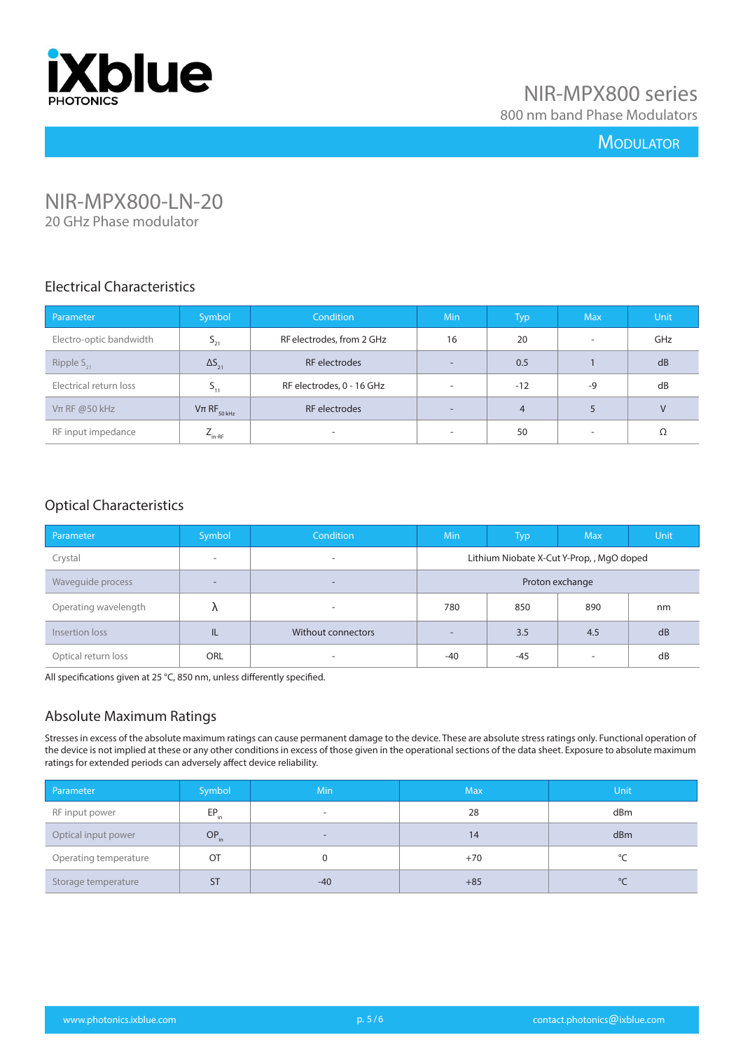

800 nm band Phase Modulators

#### **MODULATOR**

# NIR-MPX800-LN-20

20 GHz Phase modulator

#### Electrical Characteristics

| Parameter               | Symbol                    | <b>Condition</b>          | <b>Min</b>               | Typ            | <b>Max</b>               | <b>Unit</b> |
|-------------------------|---------------------------|---------------------------|--------------------------|----------------|--------------------------|-------------|
| Electro-optic bandwidth | $S_{21}$                  | RF electrodes, from 2 GHz | 16                       | 20             | $\overline{\phantom{a}}$ | GHz         |
| Ripple $S_{21}$         | $\Delta S_{21}$           | RF electrodes             | $\sim$                   | 0.5            |                          | dB          |
| Electrical return loss  | $P_{11}$                  | RF electrodes, 0 - 16 GHz | $\overline{\phantom{a}}$ | $-12$          | $-9$                     | dB          |
| $Vπ$ RF @50 kHz         | $Vπ$ RF <sub>50 kHz</sub> | RF electrodes             | -                        | $\overline{4}$ | 5                        | $\vee$      |
| RF input impedance      | $L_{\text{in-RF}}$        | ۰                         | $\overline{\phantom{0}}$ | 50             | $\overline{\phantom{a}}$ | Ω           |

#### Optical Characteristics

| Parameter            | Symbol                   | Condition          | <b>Min</b>                               | Typ   | <b>Max</b>               | <b>Unit</b> |
|----------------------|--------------------------|--------------------|------------------------------------------|-------|--------------------------|-------------|
| Crystal              | $\overline{\phantom{a}}$ | ۰                  | Lithium Niobate X-Cut Y-Prop,, MgO doped |       |                          |             |
| Waveguide process    | $\overline{\phantom{a}}$ | -                  | Proton exchange                          |       |                          |             |
| Operating wavelength |                          | ۰                  | 780                                      | 850   | 890                      | nm          |
| Insertion loss       | IL                       | Without connectors | $\overline{\phantom{a}}$                 | 3.5   | 4.5                      | dB          |
| Optical return loss  | ORL                      | ۰                  | $-40$                                    | $-45$ | $\overline{\phantom{a}}$ | dB          |

All specifications given at 25 °C, 850 nm, unless differently specified.

#### Absolute Maximum Ratings

| Parameter             | Symbol    | <b>Min</b>               | <b>Max</b> | Unit    |
|-----------------------|-----------|--------------------------|------------|---------|
| RF input power        | $EP_{in}$ |                          | 28         | dBm     |
| Optical input power   | $OP_{in}$ | $\overline{\phantom{a}}$ | 14         | dBm     |
| Operating temperature | OT        |                          | $+70$      | $\circ$ |
| Storage temperature   | <b>ST</b> | -40                      | $+85$      | $\circ$ |